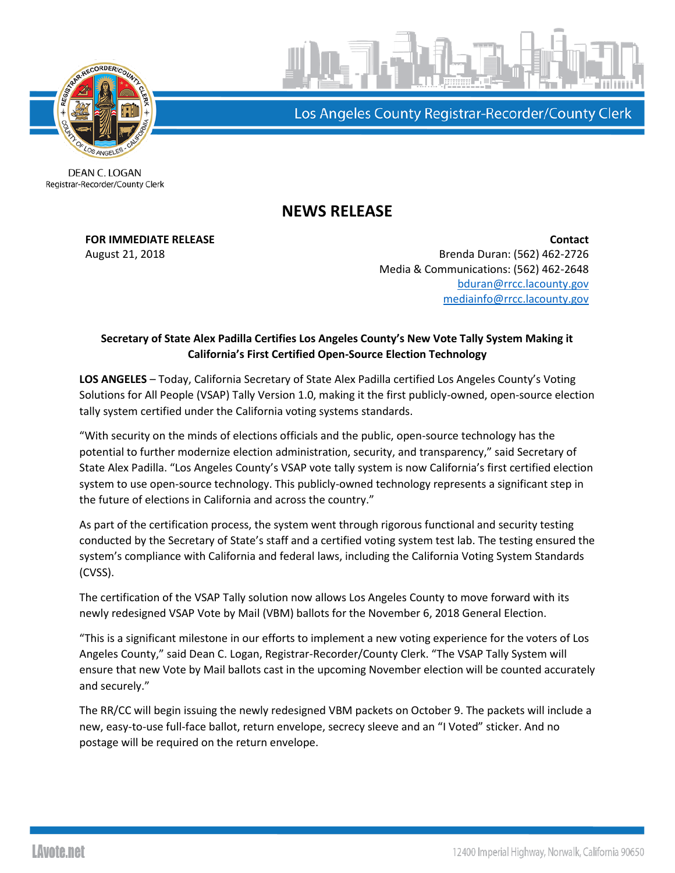

Los Angeles County Registrar-Recorder/County Clerk

DEAN C. LOGAN Registrar-Recorder/County Clerk

## **NEWS RELEASE**

**FOR IMMEDIATE RELEASE Contact** August 21, 2018 Brenda Duran: (562) 462-2726 Media & Communications: (562) 462-2648 [bduran@rrcc.lacounty.gov](mailto:bduran@rrcc.lacounty.gov) [mediainfo@rrcc.lacounty.gov](mailto:mediainfo@rrcc.lacounty.gov)

## **Secretary of State Alex Padilla Certifies Los Angeles County's New Vote Tally System Making it California's First Certified Open-Source Election Technology**

**LOS ANGELES** – Today, California Secretary of State Alex Padilla certified Los Angeles County's Voting Solutions for All People (VSAP) Tally Version 1.0, making it the first publicly-owned, open-source election tally system certified under the California voting systems standards.

"With security on the minds of elections officials and the public, open-source technology has the potential to further modernize election administration, security, and transparency," said Secretary of State Alex Padilla. "Los Angeles County's VSAP vote tally system is now California's first certified election system to use open-source technology. This publicly-owned technology represents a significant step in the future of elections in California and across the country."

As part of the certification process, the system went through rigorous functional and security testing conducted by the Secretary of State's staff and a certified voting system test lab. The testing ensured the system's compliance with California and federal laws, including the California Voting System Standards (CVSS).

The certification of the VSAP Tally solution now allows Los Angeles County to move forward with its newly redesigned VSAP Vote by Mail (VBM) ballots for the November 6, 2018 General Election.

"This is a significant milestone in our efforts to implement a new voting experience for the voters of Los Angeles County," said Dean C. Logan, Registrar-Recorder/County Clerk. "The VSAP Tally System will ensure that new Vote by Mail ballots cast in the upcoming November election will be counted accurately and securely."

The RR/CC will begin issuing the newly redesigned VBM packets on October 9. The packets will include a new, easy-to-use full-face ballot, return envelope, secrecy sleeve and an "I Voted" sticker. And no postage will be required on the return envelope.